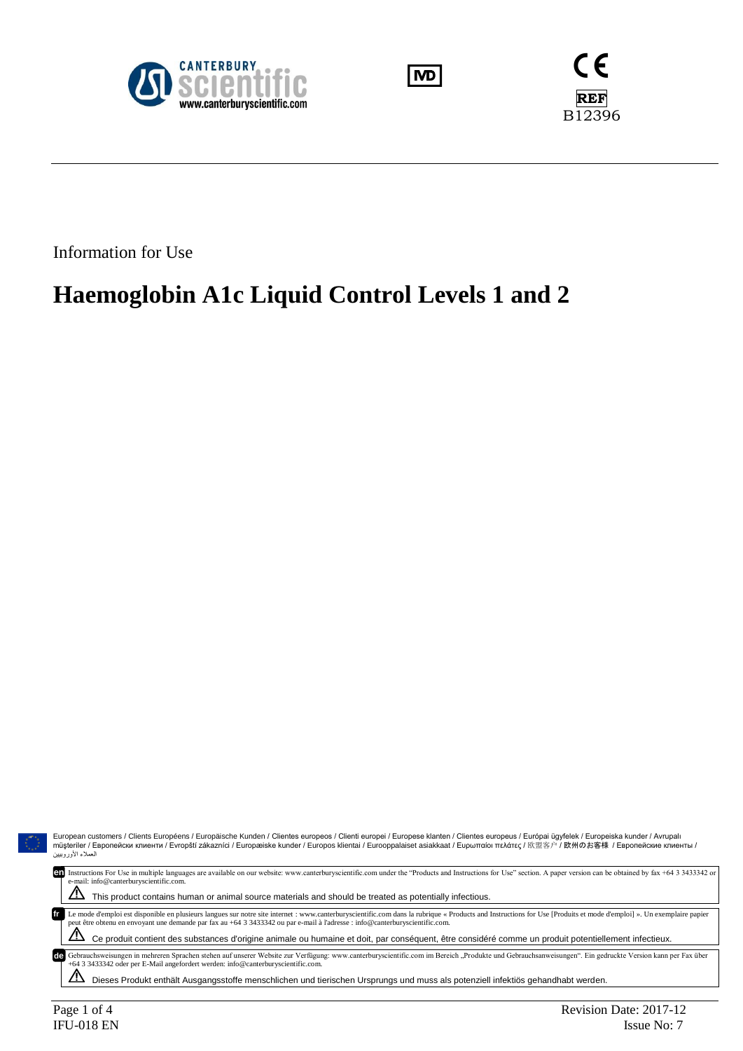





Information for Use

# **Haemoglobin A1c Liquid Control Levels 1 and 2**

European customers / Clients Européens / Europäische Kunden / Clientes europeos / Clienti europei / Europese klanten / Clientes europeus / Európai ügyfelek / Europeiska kunder / Avrupalı<br>müşteriler / Европейски клиенти العملاء الأوروبيين Instructions For Use in multiple languages are available on our website: www.canterburyscientific.com under the "Products and Instructions for Use" section. A paper version can be obtained by fax +64 3 3433342 or **en**e-mail: info@canterburyscientific.com.  $\Delta$  This product contains human or animal source materials and should be treated as potentially infectious. Le mode d'emploi est disponible en plusieurs langues sur notre site internet : www.canterburyscientific.com dans la rubrique « Products and Instructions for Use [Produits et mode d'emploi] ». Un exemplaire papier peut être Ce produit contient des substances d'origine animale ou humaine et doit, par conséquent, être considéré comme un produit potentiellement infectieux. de Gebrauchsweisungen in mehreren Sprachen stehen auf unserer Website zur Verfügung: www.canterburyscientific.com im Bereich "Produkte und Gebrauchsanweisungen". Ein gedruckte Version kann per Fax über<br>+64 3 3433342 oder p

 $\Lambda$  Dieses Produkt enthält Ausgangsstoffe menschlichen und tierischen Ursprungs und muss als potenziell infektiös gehandhabt werden.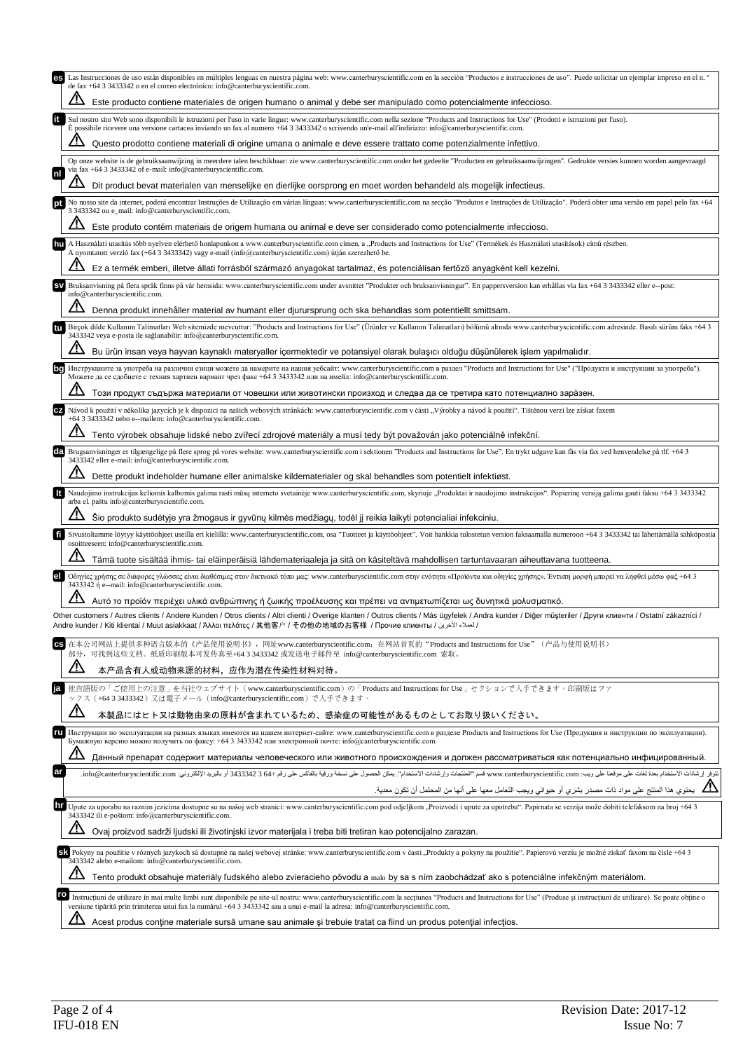| Las Instrucciones de uso están disponibles en múltiples lenguas en nuestra página web: www.canterburyscientific.com en la sección "Productos e instrucciones de uso". Puede solicitar un ejemplar impreso en el n. º<br>es<br>de fax +64 3 3433342 o en el correo electrónico: info@canterburyscientific.com.<br>Este producto contiene materiales de origen humano o animal y debe ser manipulado como potencialmente infeccioso.<br>Sul nostro sito Web sono disponibili le istruzioni per l'uso in varie lingue: www.canterburyscientific.com nella sezione "Products and Instructions for Use" (Prodotti e istruzioni per l'uso).<br>È possibile ricevere una versione cartacea inviando un fax al numero +64 3 3433342 o scrivendo un'e-mail all'indirizzo: info@canterburyscientific.com.<br>Questo prodotto contiene materiali di origine umana o animale e deve essere trattato come potenzialmente infettivo.<br>Op onze website is de gebruiksaanwijzing in meerdere talen beschikbaar: zie www.canterburyscientific.com onder het gedeelte "Producten en gebruiksaanwijzingen". Gedrukte versies kunnen worden aangevraagd<br>via fax +64 3 3433342 of e-mail: info@canterburyscientific.com.<br>Inl<br>Dit product bevat materialen van menselijke en dierlijke oorsprong en moet worden behandeld als mogelijk infectieus.<br>3 3433342 ou e mail: info@canterburyscientific.com.<br>Este produto contém materiais de origem humana ou animal e deve ser considerado como potencialmente infeccioso.<br>A Használati utasítás több nyelven elérhető honlapunkon a www.canterburyscientific.com címen, a "Products and Instructions for Use" (Termékek és Használati utasítások) című részben.<br>hu<br>A nyomtatott verzió fax (+64 3 3433342) vagy e-mail (info@canterburyscientific.com) útján szerezhető be. | No nosso site da internet, poderá encontrar Instruções de Utilização em várias línguas: www.canterburyscientific.com na secção "Produtos e Instruções de Utilização". Poderá obter uma versão em papel pelo fax +64              |  |
|------------------------------------------------------------------------------------------------------------------------------------------------------------------------------------------------------------------------------------------------------------------------------------------------------------------------------------------------------------------------------------------------------------------------------------------------------------------------------------------------------------------------------------------------------------------------------------------------------------------------------------------------------------------------------------------------------------------------------------------------------------------------------------------------------------------------------------------------------------------------------------------------------------------------------------------------------------------------------------------------------------------------------------------------------------------------------------------------------------------------------------------------------------------------------------------------------------------------------------------------------------------------------------------------------------------------------------------------------------------------------------------------------------------------------------------------------------------------------------------------------------------------------------------------------------------------------------------------------------------------------------------------------------------------------------------------------------------------------------------------------------------------------------------------------------------------------|----------------------------------------------------------------------------------------------------------------------------------------------------------------------------------------------------------------------------------|--|
|                                                                                                                                                                                                                                                                                                                                                                                                                                                                                                                                                                                                                                                                                                                                                                                                                                                                                                                                                                                                                                                                                                                                                                                                                                                                                                                                                                                                                                                                                                                                                                                                                                                                                                                                                                                                                              |                                                                                                                                                                                                                                  |  |
|                                                                                                                                                                                                                                                                                                                                                                                                                                                                                                                                                                                                                                                                                                                                                                                                                                                                                                                                                                                                                                                                                                                                                                                                                                                                                                                                                                                                                                                                                                                                                                                                                                                                                                                                                                                                                              |                                                                                                                                                                                                                                  |  |
|                                                                                                                                                                                                                                                                                                                                                                                                                                                                                                                                                                                                                                                                                                                                                                                                                                                                                                                                                                                                                                                                                                                                                                                                                                                                                                                                                                                                                                                                                                                                                                                                                                                                                                                                                                                                                              |                                                                                                                                                                                                                                  |  |
|                                                                                                                                                                                                                                                                                                                                                                                                                                                                                                                                                                                                                                                                                                                                                                                                                                                                                                                                                                                                                                                                                                                                                                                                                                                                                                                                                                                                                                                                                                                                                                                                                                                                                                                                                                                                                              |                                                                                                                                                                                                                                  |  |
|                                                                                                                                                                                                                                                                                                                                                                                                                                                                                                                                                                                                                                                                                                                                                                                                                                                                                                                                                                                                                                                                                                                                                                                                                                                                                                                                                                                                                                                                                                                                                                                                                                                                                                                                                                                                                              |                                                                                                                                                                                                                                  |  |
|                                                                                                                                                                                                                                                                                                                                                                                                                                                                                                                                                                                                                                                                                                                                                                                                                                                                                                                                                                                                                                                                                                                                                                                                                                                                                                                                                                                                                                                                                                                                                                                                                                                                                                                                                                                                                              |                                                                                                                                                                                                                                  |  |
|                                                                                                                                                                                                                                                                                                                                                                                                                                                                                                                                                                                                                                                                                                                                                                                                                                                                                                                                                                                                                                                                                                                                                                                                                                                                                                                                                                                                                                                                                                                                                                                                                                                                                                                                                                                                                              |                                                                                                                                                                                                                                  |  |
|                                                                                                                                                                                                                                                                                                                                                                                                                                                                                                                                                                                                                                                                                                                                                                                                                                                                                                                                                                                                                                                                                                                                                                                                                                                                                                                                                                                                                                                                                                                                                                                                                                                                                                                                                                                                                              |                                                                                                                                                                                                                                  |  |
|                                                                                                                                                                                                                                                                                                                                                                                                                                                                                                                                                                                                                                                                                                                                                                                                                                                                                                                                                                                                                                                                                                                                                                                                                                                                                                                                                                                                                                                                                                                                                                                                                                                                                                                                                                                                                              |                                                                                                                                                                                                                                  |  |
|                                                                                                                                                                                                                                                                                                                                                                                                                                                                                                                                                                                                                                                                                                                                                                                                                                                                                                                                                                                                                                                                                                                                                                                                                                                                                                                                                                                                                                                                                                                                                                                                                                                                                                                                                                                                                              | Ez a termék emberi, illetve állati forrásból származó anyagokat tartalmaz, és potenciálisan fertőző anyagként kell kezelni.                                                                                                      |  |
| Bruksanvisning på flera språk finns på vår hemsida: www.canterburyscientific.com under avsnittet "Produkter och bruksanvisningar". En pappersversion kan erhållas via fax +64 3 3433342 eller e--post:<br><b>SV</b><br>info@canterburyscientific.com.                                                                                                                                                                                                                                                                                                                                                                                                                                                                                                                                                                                                                                                                                                                                                                                                                                                                                                                                                                                                                                                                                                                                                                                                                                                                                                                                                                                                                                                                                                                                                                        |                                                                                                                                                                                                                                  |  |
| Denna produkt innehåller material av humant eller djurursprung och ska behandlas som potentiellt smittsam.                                                                                                                                                                                                                                                                                                                                                                                                                                                                                                                                                                                                                                                                                                                                                                                                                                                                                                                                                                                                                                                                                                                                                                                                                                                                                                                                                                                                                                                                                                                                                                                                                                                                                                                   |                                                                                                                                                                                                                                  |  |
| Bircok dilde Kullanım Talimatları Web sitemizde mevcuttur: "Products and Instructions for Use" (Urünler ve Kullanım Talimatları) bölümü altında www.canterburyscientific.com adresinde. Basılı sürüm faks +64 3<br>3433342 veya e-posta ile sağlanabilir: info@canterburyscientific.com.                                                                                                                                                                                                                                                                                                                                                                                                                                                                                                                                                                                                                                                                                                                                                                                                                                                                                                                                                                                                                                                                                                                                                                                                                                                                                                                                                                                                                                                                                                                                     |                                                                                                                                                                                                                                  |  |
|                                                                                                                                                                                                                                                                                                                                                                                                                                                                                                                                                                                                                                                                                                                                                                                                                                                                                                                                                                                                                                                                                                                                                                                                                                                                                                                                                                                                                                                                                                                                                                                                                                                                                                                                                                                                                              |                                                                                                                                                                                                                                  |  |
|                                                                                                                                                                                                                                                                                                                                                                                                                                                                                                                                                                                                                                                                                                                                                                                                                                                                                                                                                                                                                                                                                                                                                                                                                                                                                                                                                                                                                                                                                                                                                                                                                                                                                                                                                                                                                              | Bu ürün insan veya hayvan kaynaklı materyaller içermektedir ve potansiyel olarak bulaşıcı olduğu düşünülerek işlem yapılmalıdır.                                                                                                 |  |
| Инструкциите за употреба на различни езици можете да намерите на нашия уебсайт: www.canterburyscientific.com в раздел "Products and Instructions for Use" ("Продукти и инструкции за употреба").<br>Можете да се сдобиете с техния хартиен вариант чрез факс +64 3 3433342 или на имейл: info@canterburyscientific.com.                                                                                                                                                                                                                                                                                                                                                                                                                                                                                                                                                                                                                                                                                                                                                                                                                                                                                                                                                                                                                                                                                                                                                                                                                                                                                                                                                                                                                                                                                                      |                                                                                                                                                                                                                                  |  |
| Този продукт съдържа материали от човешки или животински произход и следва да се третира като потенциално заразен.                                                                                                                                                                                                                                                                                                                                                                                                                                                                                                                                                                                                                                                                                                                                                                                                                                                                                                                                                                                                                                                                                                                                                                                                                                                                                                                                                                                                                                                                                                                                                                                                                                                                                                           |                                                                                                                                                                                                                                  |  |
| Návod k použití v několika jazycích je k dispozici na našich webových stránkách: www.canterburyscientific.com v části "Výrobky a návod k použití". Tištěnou verzi lze získat faxem<br>+64 3 3433342 nebo e--mailem: info@canterburyscientific.com.                                                                                                                                                                                                                                                                                                                                                                                                                                                                                                                                                                                                                                                                                                                                                                                                                                                                                                                                                                                                                                                                                                                                                                                                                                                                                                                                                                                                                                                                                                                                                                           |                                                                                                                                                                                                                                  |  |
| Tento výrobek obsahuje lidské nebo zvířecí zdrojové materiály a musí tedy být považován jako potenciálně infekční.                                                                                                                                                                                                                                                                                                                                                                                                                                                                                                                                                                                                                                                                                                                                                                                                                                                                                                                                                                                                                                                                                                                                                                                                                                                                                                                                                                                                                                                                                                                                                                                                                                                                                                           |                                                                                                                                                                                                                                  |  |
| Brugsanvisninger er tilgængelige på flere sprog på vores website: www.canterburyscientific.com i sektionen "Products and Instructions for Use". En trykt udgave kan fås via fax ved henvendelse på tlf. +64 3<br>da<br>3433342 eller e-mail: info@canterburyscientific.com.                                                                                                                                                                                                                                                                                                                                                                                                                                                                                                                                                                                                                                                                                                                                                                                                                                                                                                                                                                                                                                                                                                                                                                                                                                                                                                                                                                                                                                                                                                                                                  |                                                                                                                                                                                                                                  |  |
| Dette produkt indeholder humane eller animalske kildematerialer og skal behandles som potentielt infektiøst.                                                                                                                                                                                                                                                                                                                                                                                                                                                                                                                                                                                                                                                                                                                                                                                                                                                                                                                                                                                                                                                                                                                                                                                                                                                                                                                                                                                                                                                                                                                                                                                                                                                                                                                 |                                                                                                                                                                                                                                  |  |
| Naudojimo instrukcijas keliomis kalbomis galima rasti mūsų interneto svetainėje www.canterburyscientific.com, skyriuje "Produktai ir naudojimo instrukcijos". Popierinę versiją galima gauti faksu +64 3 3433342<br>arba el. paštu info@canterburyscientific.com.                                                                                                                                                                                                                                                                                                                                                                                                                                                                                                                                                                                                                                                                                                                                                                                                                                                                                                                                                                                                                                                                                                                                                                                                                                                                                                                                                                                                                                                                                                                                                            |                                                                                                                                                                                                                                  |  |
| Šio produkto sudėtyje yra žmogaus ir gyvūnų kilmės medžiagų, todėl jį reikia laikyti potencialiai infekciniu.                                                                                                                                                                                                                                                                                                                                                                                                                                                                                                                                                                                                                                                                                                                                                                                                                                                                                                                                                                                                                                                                                                                                                                                                                                                                                                                                                                                                                                                                                                                                                                                                                                                                                                                |                                                                                                                                                                                                                                  |  |
| osoitteeseen: info@canterburyscientific.com.                                                                                                                                                                                                                                                                                                                                                                                                                                                                                                                                                                                                                                                                                                                                                                                                                                                                                                                                                                                                                                                                                                                                                                                                                                                                                                                                                                                                                                                                                                                                                                                                                                                                                                                                                                                 | Sivustoltamme löytyy käyttöohjeet useilla eri kielillä: www.canterburyscientific.com, osa "Tuotteet ja käyttöohjeet". Voit hankkia tulostetun version faksaamalla numeroon +64 3 3433342 tai lähettämällä sähköpostia            |  |
| Tämä tuote sisältää ihmis- tai eläinperäisiä lähdemateriaaleja ja sitä on käsiteltävä mahdollisen tartuntavaaran aiheuttavana tuotteena.                                                                                                                                                                                                                                                                                                                                                                                                                                                                                                                                                                                                                                                                                                                                                                                                                                                                                                                                                                                                                                                                                                                                                                                                                                                                                                                                                                                                                                                                                                                                                                                                                                                                                     |                                                                                                                                                                                                                                  |  |
| Οδηγίες χρήσης σε διάφορες γλώσσες είναι διαθέσιμες στον δικτυακό τόπο μας: www.canterburyscientific.com στην ενότητα «Προϊόντα και οδηγίες χρήσης». Έντυπη μορφή μπορεί να ληφθεί μέσω φαξ +64 3<br>3433342 ή e--mail: info@canterburyscientific.com.                                                                                                                                                                                                                                                                                                                                                                                                                                                                                                                                                                                                                                                                                                                                                                                                                                                                                                                                                                                                                                                                                                                                                                                                                                                                                                                                                                                                                                                                                                                                                                       |                                                                                                                                                                                                                                  |  |
| Αυτό το προϊόν περιέχει υλικά ανθρώπινης ή ζωικής προέλευσης και πρέπει να αντιμετωπίζεται ως δυνητικά μολυσματικό.                                                                                                                                                                                                                                                                                                                                                                                                                                                                                                                                                                                                                                                                                                                                                                                                                                                                                                                                                                                                                                                                                                                                                                                                                                                                                                                                                                                                                                                                                                                                                                                                                                                                                                          |                                                                                                                                                                                                                                  |  |
| Other customers / Autres clients / Andere Kunden / Otros clients / Altri clienti / Overige klanten / Outros clients / Más ügyfelek / Andra kunder / Diğer müşteriler / Други клиенти / Ostatní zákazníci /<br>/ العدلاء الآخرين / Andre kunder / Kiti klientai / Muut asiakkaat / Άλλοι πελάτες / 其他客户 / その他の地域のお客様 / Прочие клиенты / الحدلاء الآخرين                                                                                                                                                                                                                                                                                                                                                                                                                                                                                                                                                                                                                                                                                                                                                                                                                                                                                                                                                                                                                                                                                                                                                                                                                                                                                                                                                                                                                                                                       |                                                                                                                                                                                                                                  |  |
| 在本公司网站上提供多种语言版本的《产品使用说明书》,网址www.canterburyscientific.com; 在网站首页的"Products and Instructions for Use"(产品与使用说明书)<br><b>CS</b><br>部分, 可找到这些文档。纸质印刷版本可发传真至+64 3 3433342 或发送电子邮件至 info@canterburyscientific.com 索取。                                                                                                                                                                                                                                                                                                                                                                                                                                                                                                                                                                                                                                                                                                                                                                                                                                                                                                                                                                                                                                                                                                                                                                                                                                                                                                                                                                                                                                                                                                                                                                                                                |                                                                                                                                                                                                                                  |  |
| 本产品含有人或动物来源的材料,应作为潜在传染性材料对待。                                                                                                                                                                                                                                                                                                                                                                                                                                                                                                                                                                                                                                                                                                                                                                                                                                                                                                                                                                                                                                                                                                                                                                                                                                                                                                                                                                                                                                                                                                                                                                                                                                                                                                                                                                                                 |                                                                                                                                                                                                                                  |  |
| 他言語版の「ご使用上の注意」を当社ウェブサイト (www.canterburyscientific.com)の「Products and Instructions for Use」セクションで入手できます。印刷版はファ<br>ia<br>ックス (+643343342) 又は電子メール (info@canterburyscientific.com) で入手できます。                                                                                                                                                                                                                                                                                                                                                                                                                                                                                                                                                                                                                                                                                                                                                                                                                                                                                                                                                                                                                                                                                                                                                                                                                                                                                                                                                                                                                                                                                                                                                                                                                                     |                                                                                                                                                                                                                                  |  |
| <u>/N</u><br>本製品にはヒト又は動物由来の原料が含まれているため、感染症の可能性があるものとしてお取り扱いください。                                                                                                                                                                                                                                                                                                                                                                                                                                                                                                                                                                                                                                                                                                                                                                                                                                                                                                                                                                                                                                                                                                                                                                                                                                                                                                                                                                                                                                                                                                                                                                                                                                                                                                                                                             |                                                                                                                                                                                                                                  |  |
| Инструкции по эксплуатации на разных языках имеются на нашем интернет-сайте: www.canterburyscientific.com в разделе Products and Instructions for Use (Продукция и инструкции по эксплуатации).<br>Бумажную версию можно получить по факсу: +64 3 3433342 или электронной почте: info@canterburyscientific.com.                                                                                                                                                                                                                                                                                                                                                                                                                                                                                                                                                                                                                                                                                                                                                                                                                                                                                                                                                                                                                                                                                                                                                                                                                                                                                                                                                                                                                                                                                                              |                                                                                                                                                                                                                                  |  |
| Данный препарат содержит материалы человеческого или животного происхождения и должен рассматриваться как потенциально инфицированный.                                                                                                                                                                                                                                                                                                                                                                                                                                                                                                                                                                                                                                                                                                                                                                                                                                                                                                                                                                                                                                                                                                                                                                                                                                                                                                                                                                                                                                                                                                                                                                                                                                                                                       |                                                                                                                                                                                                                                  |  |
| ar                                                                                                                                                                                                                                                                                                                                                                                                                                                                                                                                                                                                                                                                                                                                                                                                                                                                                                                                                                                                                                                                                                                                                                                                                                                                                                                                                                                                                                                                                                                                                                                                                                                                                                                                                                                                                           |                                                                                                                                                                                                                                  |  |
| يحتوي هذا المنتج على مواد ذات مصدر بشري أو حيواني ويجب التعامل معها على أنها من المحتمل أن تكون معدية.                                                                                                                                                                                                                                                                                                                                                                                                                                                                                                                                                                                                                                                                                                                                                                                                                                                                                                                                                                                                                                                                                                                                                                                                                                                                                                                                                                                                                                                                                                                                                                                                                                                                                                                       | .<br>تتوفر إرشادات الاستخدام بعدة لغات على موقعنا على ويب: www.canterburyscientific.com فسم "العنتخات وإرشادات الاستخدام". يمكن الحصول على نسخة ورقية بالفاكس على رقم +64 3433342 أو بالبريد الإلكتروني: info@canterburyscientif |  |
| DJ Upute za uporabu na raznim jezicima dostupne su na našoj web stranici: www.canterburyscientific.com pod odjeljkom "Proizvodi i upute za upotrebu". Papirnata se verzija može dobiti telefaksom na broj +64 3<br>3433342 ili e-poštom: info@canterburyscientific.com.                                                                                                                                                                                                                                                                                                                                                                                                                                                                                                                                                                                                                                                                                                                                                                                                                                                                                                                                                                                                                                                                                                                                                                                                                                                                                                                                                                                                                                                                                                                                                      |                                                                                                                                                                                                                                  |  |
| Ovaj proizvod sadrži ljudski ili životinjski izvor materijala i treba biti tretiran kao potencijalno zarazan.                                                                                                                                                                                                                                                                                                                                                                                                                                                                                                                                                                                                                                                                                                                                                                                                                                                                                                                                                                                                                                                                                                                                                                                                                                                                                                                                                                                                                                                                                                                                                                                                                                                                                                                |                                                                                                                                                                                                                                  |  |
| Sk Pokyny na použitie v rôznych jazykoch sú dostupné na našej webovej stránke: www.canterburyscientific.com v časti "Produkty a pokyny na použitie". Papierovú verziu je možné získať faxom na čísle +64 3<br>3433342 alebo e-mailom: info@canterburyscientific.com.                                                                                                                                                                                                                                                                                                                                                                                                                                                                                                                                                                                                                                                                                                                                                                                                                                                                                                                                                                                                                                                                                                                                                                                                                                                                                                                                                                                                                                                                                                                                                         |                                                                                                                                                                                                                                  |  |
| Tento produkt obsahuje materiály ľudského alebo zvieracieho pôvodu a malo by sa s ním zaobchádzať ako s potenciálne infekčným materiálom.                                                                                                                                                                                                                                                                                                                                                                                                                                                                                                                                                                                                                                                                                                                                                                                                                                                                                                                                                                                                                                                                                                                                                                                                                                                                                                                                                                                                                                                                                                                                                                                                                                                                                    |                                                                                                                                                                                                                                  |  |
| Instructiuni de utilizare în mai multe limbi sunt disponibile pe site-ul nostru: www.canterburyscientific.com la sectiunea "Products and Instructions for Use" (Produse și instructiuni de utilizare). Se poate obține o<br>versiune tipărită prin trimiterea unui fax la numărul +64 3 3433342 sau a unui e-mail la adresa: info@canterburyscientific.com.<br>Acest produs conține materiale sursă umane sau animale și trebuie tratat ca fiind un produs potențial infecțios.                                                                                                                                                                                                                                                                                                                                                                                                                                                                                                                                                                                                                                                                                                                                                                                                                                                                                                                                                                                                                                                                                                                                                                                                                                                                                                                                              |                                                                                                                                                                                                                                  |  |
|                                                                                                                                                                                                                                                                                                                                                                                                                                                                                                                                                                                                                                                                                                                                                                                                                                                                                                                                                                                                                                                                                                                                                                                                                                                                                                                                                                                                                                                                                                                                                                                                                                                                                                                                                                                                                              |                                                                                                                                                                                                                                  |  |
|                                                                                                                                                                                                                                                                                                                                                                                                                                                                                                                                                                                                                                                                                                                                                                                                                                                                                                                                                                                                                                                                                                                                                                                                                                                                                                                                                                                                                                                                                                                                                                                                                                                                                                                                                                                                                              |                                                                                                                                                                                                                                  |  |
|                                                                                                                                                                                                                                                                                                                                                                                                                                                                                                                                                                                                                                                                                                                                                                                                                                                                                                                                                                                                                                                                                                                                                                                                                                                                                                                                                                                                                                                                                                                                                                                                                                                                                                                                                                                                                              |                                                                                                                                                                                                                                  |  |
|                                                                                                                                                                                                                                                                                                                                                                                                                                                                                                                                                                                                                                                                                                                                                                                                                                                                                                                                                                                                                                                                                                                                                                                                                                                                                                                                                                                                                                                                                                                                                                                                                                                                                                                                                                                                                              |                                                                                                                                                                                                                                  |  |
|                                                                                                                                                                                                                                                                                                                                                                                                                                                                                                                                                                                                                                                                                                                                                                                                                                                                                                                                                                                                                                                                                                                                                                                                                                                                                                                                                                                                                                                                                                                                                                                                                                                                                                                                                                                                                              |                                                                                                                                                                                                                                  |  |
|                                                                                                                                                                                                                                                                                                                                                                                                                                                                                                                                                                                                                                                                                                                                                                                                                                                                                                                                                                                                                                                                                                                                                                                                                                                                                                                                                                                                                                                                                                                                                                                                                                                                                                                                                                                                                              |                                                                                                                                                                                                                                  |  |
|                                                                                                                                                                                                                                                                                                                                                                                                                                                                                                                                                                                                                                                                                                                                                                                                                                                                                                                                                                                                                                                                                                                                                                                                                                                                                                                                                                                                                                                                                                                                                                                                                                                                                                                                                                                                                              |                                                                                                                                                                                                                                  |  |
|                                                                                                                                                                                                                                                                                                                                                                                                                                                                                                                                                                                                                                                                                                                                                                                                                                                                                                                                                                                                                                                                                                                                                                                                                                                                                                                                                                                                                                                                                                                                                                                                                                                                                                                                                                                                                              |                                                                                                                                                                                                                                  |  |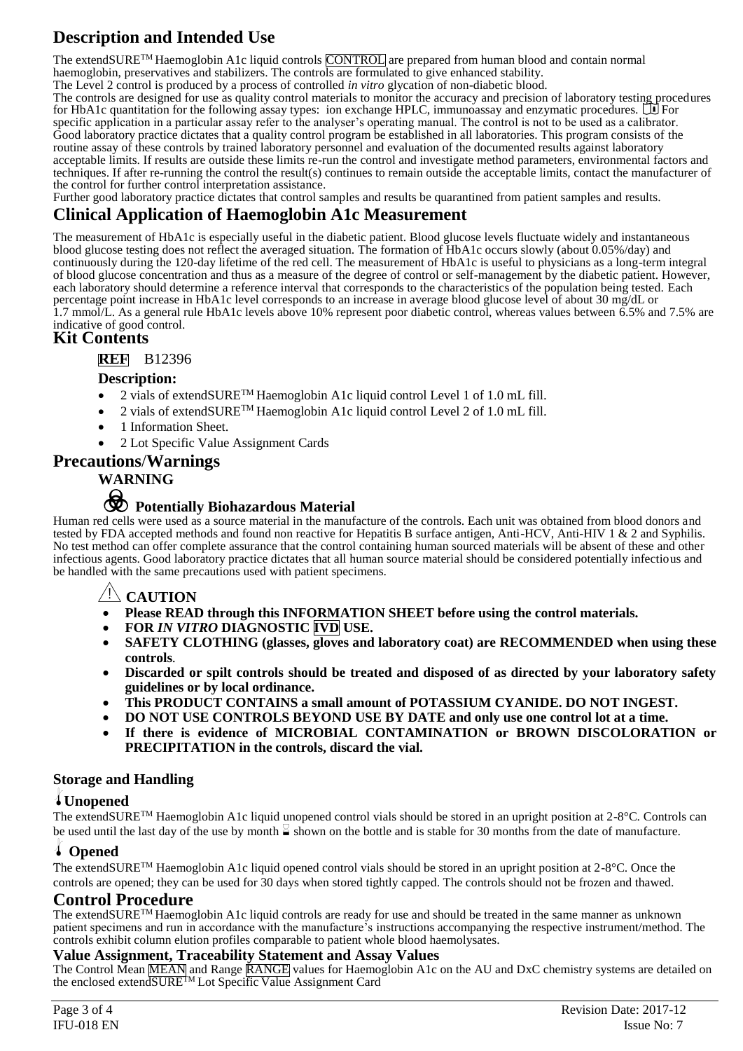## **Description and Intended Use**

The extendSURE<sup>TM</sup> Haemoglobin A1c liquid controls CONTROL are prepared from human blood and contain normal haemoglobin, preservatives and stabilizers. The controls are formulated to give enhanced stability.

The Level 2 control is produced by a process of controlled *in vitro* glycation of non-diabetic blood. The controls are designed for use as quality control materials to monitor the accuracy and precision of laboratory testing procedures for HbA1c quantitation for the following assay types: ion exchange HPLC, immunoassay and enzymatic procedures.  $\Box$  For specific application in a particular assay refer to the analyser's operating manual. The control is not to be used as a calibrator. Good laboratory practice dictates that a quality control program be established in all laboratories. This program consists of the routine assay of these controls by trained laboratory personnel and evaluation of the documented results against laboratory acceptable limits. If results are outside these limits re-run the control and investigate method parameters, environmental factors and techniques. If after re-running the control the result(s) continues to remain outside the acceptable limits, contact the manufacturer of the control for further control interpretation assistance.

Further good laboratory practice dictates that control samples and results be quarantined from patient samples and results.

### **Clinical Application of Haemoglobin A1c Measurement**

The measurement of HbA1c is especially useful in the diabetic patient. Blood glucose levels fluctuate widely and instantaneous blood glucose testing does not reflect the averaged situation. The formation of HbA1c occurs slowly (about 0.05%/day) and continuously during the 120-day lifetime of the red cell. The measurement of HbA1c is useful to physicians as a long-term integral of blood glucose concentration and thus as a measure of the degree of control or self-management by the diabetic patient. However, each laboratory should determine a reference interval that corresponds to the characteristics of the population being tested. Each percentage point increase in HbA1c level corresponds to an increase in average blood glucose level of about 30 mg/dL or 1.7 mmol/L. As a general rule HbA1c levels above 10% represent poor diabetic control, whereas values between 6.5% and 7.5% are indicative of good control.

### **Kit Contents**

**REF** B12396

#### **Description:**

- 2 vials of extendSURE™ Haemoglobin A1c liquid control Level 1 of 1.0 mL fill.
- 2 vials of extendSURE<sup>TM</sup> Haemoglobin A1c liquid control Level 2 of 1.0 mL fill.
- 1 Information Sheet.
- 2 Lot Specific Value Assignment Cards

#### **Precautions**/**Warnings**

#### **WARNING**

## F **Potentially Biohazardous Material**

Human red cells were used as a source material in the manufacture of the controls. Each unit was obtained from blood donors and tested by FDA accepted methods and found non reactive for Hepatitis B surface antigen, Anti-HCV, Anti-HIV 1 & 2 and Syphilis. No test method can offer complete assurance that the control containing human sourced materials will be absent of these and other infectious agents. Good laboratory practice dictates that all human source material should be considered potentially infectious and be handled with the same precautions used with patient specimens.

#### Y**CAUTION**

- **Please READ through this INFORMATION SHEET before using the control materials.**
- **FOR** *IN VITRO* **DIAGNOSTIC IVD USE.**
- **SAFETY CLOTHING (glasses, gloves and laboratory coat) are RECOMMENDED when using these controls***.*
- **Discarded or spilt controls should be treated and disposed of as directed by your laboratory safety guidelines or by local ordinance.**
- **This PRODUCT CONTAINS a small amount of POTASSIUM CYANIDE. DO NOT INGEST.**
- **DO NOT USE CONTROLS BEYOND USE BY DATE and only use one control lot at a time.**
- **If there is evidence of MICROBIAL CONTAMINATION or BROWN DISCOLORATION or PRECIPITATION in the controls, discard the vial.**

#### **Storage and Handling**

#### l**Unopened**

The extendSURE<sup>TM</sup> Haemoglobin A1c liquid unopened control vials should be stored in an upright position at 2-8°C. Controls can be used until the last day of the use by month  $\leq$  shown on the bottle and is stable for 30 months from the date of manufacture.

#### l **Opened**

The extendSURETM Haemoglobin A1c liquid opened control vials should be stored in an upright position at 2-8°C. Once the controls are opened; they can be used for 30 days when stored tightly capped. The controls should not be frozen and thawed.

#### **Control Procedure**

The extendSURETM Haemoglobin A1c liquid controls are ready for use and should be treated in the same manner as unknown patient specimens and run in accordance with the manufacture's instructions accompanying the respective instrument/method. The controls exhibit column elution profiles comparable to patient whole blood haemolysates.

#### **Value Assignment, Traceability Statement and Assay Values**

The Control Mean MEAN and Range RANGE values for Haemoglobin A1c on the AU and DxC chemistry systems are detailed on the enclosed extendSURE<sup>TM</sup> Lot Specific Value Assignment Card